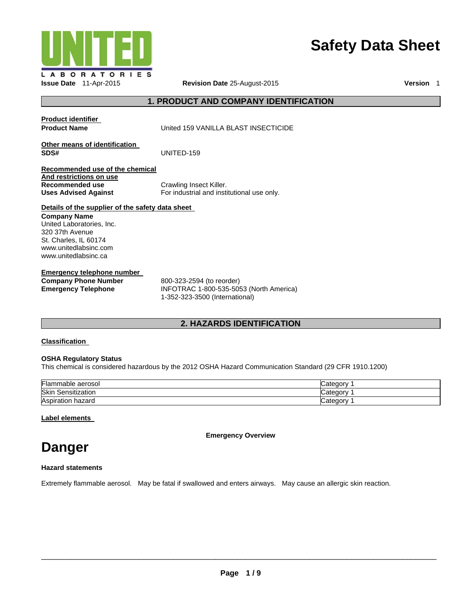

# **Safety Data Sheet**

**Issue Date** 11-Apr-2015 **Revision Date** 25-August-2015 **Version** 1

## **1. PRODUCT AND COMPANY IDENTIFICATION**

| Product identifier                                                                                                                            |                                                                                                        |
|-----------------------------------------------------------------------------------------------------------------------------------------------|--------------------------------------------------------------------------------------------------------|
| <b>Product Name</b>                                                                                                                           | United 159 VANILLA BLAST INSECTICIDE                                                                   |
| Other means of identification<br>SDS#                                                                                                         | UNITED-159                                                                                             |
| Recommended use of the chemical                                                                                                               |                                                                                                        |
| And restrictions on use<br>Recommended use<br><b>Uses Advised Against</b>                                                                     | Crawling Insect Killer.<br>For industrial and institutional use only.                                  |
| Details of the supplier of the safety data sheet                                                                                              |                                                                                                        |
| <b>Company Name</b><br>United Laboratories, Inc.<br>320 37th Avenue<br>St. Charles, IL 60174<br>www.unitedlabsinc.com<br>www.unitedlabsinc.ca |                                                                                                        |
| <b>Emergency telephone number</b>                                                                                                             |                                                                                                        |
| <b>Company Phone Number</b><br><b>Emergency Telephone</b>                                                                                     | 800-323-2594 (to reorder)<br>INFOTRAC 1-800-535-5053 (North America)<br>1-352-323-3500 (International) |

## **2. HAZARDS IDENTIFICATION**

## **Classification**

## **OSHA Regulatory Status**

This chemical is considered hazardous by the 2012 OSHA Hazard Communication Standard (29 CFR 1910.1200)

| Flammable aerosol     | ∵ategorv |
|-----------------------|----------|
| Skin<br>Sensitization | ⊶ategor  |
| Aspiration<br>hazard  | ∟ategor∨ |

## **Label elements**

**Emergency Overview** 

# **Danger**

## **Hazard statements**

Extremely flammable aerosol. May be fatal if swallowed and enters airways. May cause an allergic skin reaction.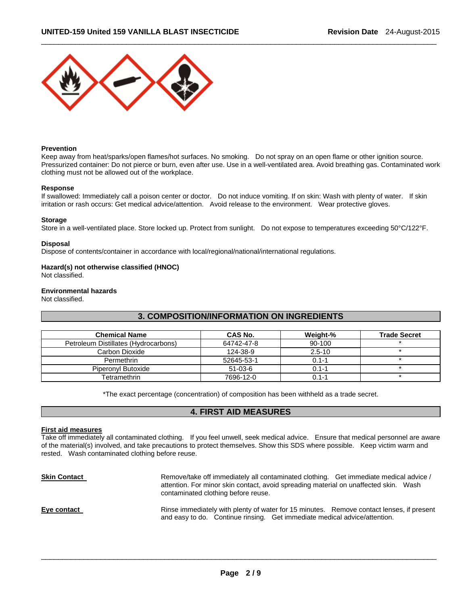

#### **Prevention**

Keep away from heat/sparks/open flames/hot surfaces. No smoking. Do not spray on an open flame or other ignition source. Pressurized container: Do not pierce or burn, even after use. Use in a well-ventilated area. Avoid breathing gas. Contaminated work clothing must not be allowed out of the workplace.

 $\Box$ 

#### **Response**

If swallowed: Immediately call a poison center or doctor. Do not induce vomiting. If on skin: Wash with plenty of water. If skin irritation or rash occurs: Get medical advice/attention. Avoid release to the environment. Wear protective gloves.

#### **Storage**

Store in a well-ventilated place. Store locked up. Protect from sunlight. Do not expose to temperatures exceeding 50°C/122°F.

#### **Disposal**

Dispose of contents/container in accordance with local/regional/national/international regulations.

## **Hazard(s) not otherwise classified (HNOC)**

Not classified.

### **Environmental hazards**

Not classified.

## **3. COMPOSITION/INFORMATION ON INGREDIENTS**

| <b>Chemical Name</b>                 | CAS No.    | Weight-%   | <b>Trade Secret</b> |
|--------------------------------------|------------|------------|---------------------|
| Petroleum Distillates (Hydrocarbons) | 64742-47-8 | 90-100     |                     |
| Carbon Dioxide                       | 124-38-9   | $2.5 - 10$ |                     |
| Permethrin                           | 52645-53-1 | $0.1 - 1$  |                     |
| Piperonyl Butoxide                   | $51-03-6$  | $0.1 - 1$  |                     |
| Tetramethrin                         | 7696-12-0  | $0.1 - 1$  |                     |

\*The exact percentage (concentration) of composition has been withheld as a trade secret.

## **4. FIRST AID MEASURES**

#### **First aid measures**

Take off immediately all contaminated clothing. If you feel unwell, seek medical advice. Ensure that medical personnel are aware of the material(s) involved, and take precautions to protect themselves. Show this SDS where possible. Keep victim warm and rested. Wash contaminated clothing before reuse.

| <b>Skin Contact</b> | Remove/take off immediately all contaminated clothing. Get immediate medical advice /<br>attention. For minor skin contact, avoid spreading material on unaffected skin. Wash<br>contaminated clothing before reuse. |  |
|---------------------|----------------------------------------------------------------------------------------------------------------------------------------------------------------------------------------------------------------------|--|
| Eye contact         | Rinse immediately with plenty of water for 15 minutes. Remove contact lenses, if present<br>and easy to do. Continue rinsing. Get immediate medical advice/attention.                                                |  |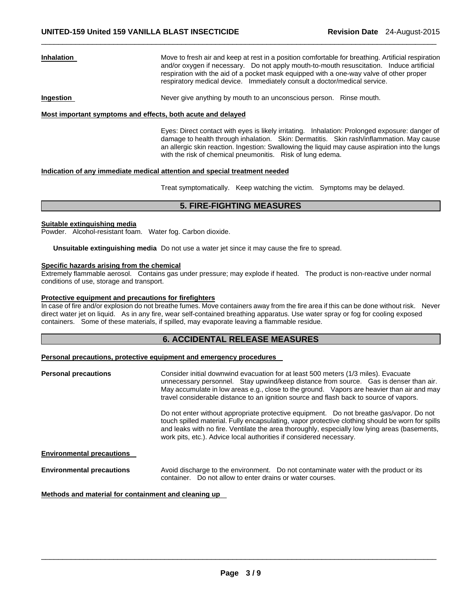**Inhalation** Move to fresh air and keep at rest in a position comfortable for breathing. Artificial respiration and/or oxygen if necessary. Do not apply mouth-to-mouth resuscitation. Induce artificial respiration with the aid of a pocket mask equipped with a one-way valve of other proper respiratory medical device. Immediately consult a doctor/medical service.

**Ingestion Never give anything by mouth to an unconscious person.** Rinse mouth.

#### **Most important symptoms and effects, both acute and delayed**

Eyes: Direct contact with eyes is likely irritating. Inhalation: Prolonged exposure: danger of damage to health through inhalation. Skin: Dermatitis. Skin rash/inflammation. May cause an allergic skin reaction. Ingestion: Swallowing the liquid may cause aspiration into the lungs with the risk of chemical pneumonitis. Risk of lung edema.

#### **Indication of any immediate medical attention and special treatment needed**

Treat symptomatically. Keep watching the victim. Symptoms may be delayed.

## **5. FIRE-FIGHTING MEASURES**

 $\Box$ 

#### **Suitable extinguishing media**

Powder. Alcohol-resistant foam. Water fog. Carbon dioxide.

**Unsuitable extinguishing media** Do not use a water jet since it may cause the fire to spread.

#### **Specific hazards arising from the chemical**

Extremely flammable aerosol. Contains gas under pressure; may explode if heated. The product is non-reactive under normal conditions of use, storage and transport.

## **Protective equipment and precautions for firefighters**

In case of fire and/or explosion do not breathe fumes. Move containers away from the fire area if this can be done without risk. Never direct water jet on liquid. As in any fire, wear self-contained breathing apparatus. Use water spray or fog for cooling exposed containers. Some of these materials, if spilled, may evaporate leaving a flammable residue.

## **6. ACCIDENTAL RELEASE MEASURES**

### **Personal precautions, protective equipment and emergency procedures**

| <b>Personal precautions</b>      | Consider initial downwind evacuation for at least 500 meters (1/3 miles). Evacuate<br>unnecessary personnel. Stay upwind/keep distance from source. Gas is denser than air.<br>May accumulate in low areas e.g., close to the ground. Vapors are heavier than air and may<br>travel considerable distance to an ignition source and flash back to source of vapors. |
|----------------------------------|---------------------------------------------------------------------------------------------------------------------------------------------------------------------------------------------------------------------------------------------------------------------------------------------------------------------------------------------------------------------|
|                                  | Do not enter without appropriate protective equipment. Do not breathe gas/vapor. Do not<br>touch spilled material. Fully encapsulating, vapor protective clothing should be worn for spills<br>and leaks with no fire. Ventilate the area thoroughly, especially low lying areas (basements,<br>work pits, etc.). Advice local authorities if considered necessary. |
| <b>Environmental precautions</b> |                                                                                                                                                                                                                                                                                                                                                                     |
| <b>Environmental precautions</b> | Avoid discharge to the environment. Do not contaminate water with the product or its<br>container. Do not allow to enter drains or water courses.                                                                                                                                                                                                                   |

## **Methods and material for containment and cleaning up**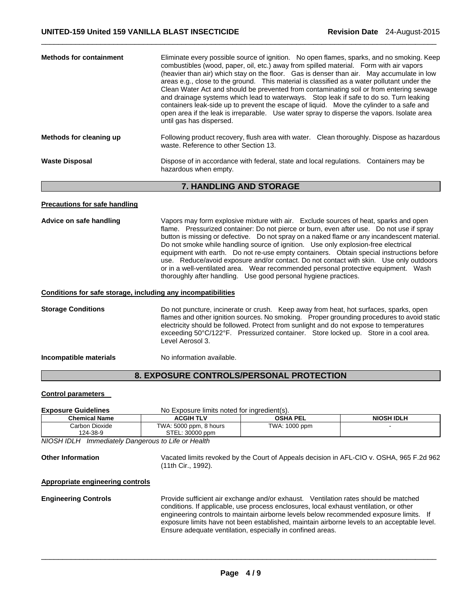| <b>Methods for containment</b> | Eliminate every possible source of ignition. No open flames, sparks, and no smoking. Keep<br>combustibles (wood, paper, oil, etc.) away from spilled material. Form with air vapors<br>(heavier than air) which stay on the floor. Gas is denser than air. May accumulate in low<br>areas e.g., close to the ground. This material is classified as a water pollutant under the<br>Clean Water Act and should be prevented from contaminating soil or from entering sewage<br>and drainage systems which lead to waterways. Stop leak if safe to do so. Turn leaking<br>containers leak-side up to prevent the escape of liquid. Move the cylinder to a safe and<br>open area if the leak is irreparable. Use water spray to disperse the vapors. Isolate area<br>until gas has dispersed. |  |
|--------------------------------|--------------------------------------------------------------------------------------------------------------------------------------------------------------------------------------------------------------------------------------------------------------------------------------------------------------------------------------------------------------------------------------------------------------------------------------------------------------------------------------------------------------------------------------------------------------------------------------------------------------------------------------------------------------------------------------------------------------------------------------------------------------------------------------------|--|
| Methods for cleaning up        | Following product recovery, flush area with water. Clean thoroughly. Dispose as hazardous<br>waste. Reference to other Section 13.                                                                                                                                                                                                                                                                                                                                                                                                                                                                                                                                                                                                                                                         |  |
| <b>Waste Disposal</b>          | Dispose of in accordance with federal, state and local regulations. Containers may be<br>hazardous when empty.                                                                                                                                                                                                                                                                                                                                                                                                                                                                                                                                                                                                                                                                             |  |

 $\Box$ 

## **7. HANDLING AND STORAGE**

## **Precautions for safe handling**

**Advice on safe handling** Vapors may form explosive mixture with air. Exclude sources of heat, sparks and open flame. Pressurized container: Do not pierce or burn, even after use. Do not use if spray button is missing or defective. Do not spray on a naked flame or any incandescent material. Do not smoke while handling source of ignition. Use only explosion-free electrical equipment with earth. Do not re-use empty containers. Obtain special instructions before use. Reduce/avoid exposure and/or contact. Do not contact with skin. Use only outdoors or in a well-ventilated area. Wear recommended personal protective equipment. Wash thoroughly after handling. Use good personal hygiene practices.

## **Conditions for safe storage, including any incompatibilities**

**Storage Conditions** Do not puncture, incinerate or crush. Keep away from heat, hot surfaces, sparks, open flames and other ignition sources. No smoking. Proper grounding procedures to avoid static electricity should be followed. Protect from sunlight and do not expose to temperatures exceeding 50°C/122°F. Pressurized container. Store locked up. Store in a cool area. Level Aerosol 3.

**Incompatible materials No information available.** 

## **8. EXPOSURE CONTROLS/PERSONAL PROTECTION**

## **Control parameters**

| <b>Exposure Guidelines</b> | No Exposure limits noted for ingredient(s).              |               |  |  |  |
|----------------------------|----------------------------------------------------------|---------------|--|--|--|
| <b>Chemical Name</b>       | <b>OSHA PEL</b><br><b>NIOSH IDLH</b><br><b>ACGIH TLV</b> |               |  |  |  |
| Carbon Dioxide             | TWA: 5000 ppm, 8 hours                                   | TWA: 1000 ppm |  |  |  |
| 124-38-9                   | STEL: 30000 ppm                                          |               |  |  |  |
| .<br>.                     |                                                          |               |  |  |  |

*NIOSH IDLH Immediately Dangerous to Life or Health* 

**Other Information** Vacated limits revoked by the Court of Appeals decision in AFL-CIO v. OSHA, 965 F.2d 962 (11th Cir., 1992).

#### **Appropriate engineering controls**

**Engineering Controls** Provide sufficient air exchange and/or exhaust. Ventilation rates should be matched conditions. If applicable, use process enclosures, local exhaust ventilation, or other engineering controls to maintain airborne levels below recommended exposure limits. If exposure limits have not been established, maintain airborne levels to an acceptable level. Ensure adequate ventilation, especially in confined areas.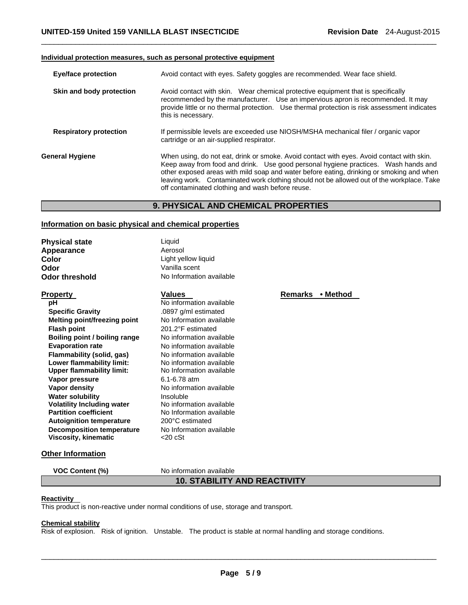#### **Individual protection measures, such as personal protective equipment**

| <b>Eye/face protection</b>    | Avoid contact with eyes. Safety goggles are recommended. Wear face shield.                                                                                                                                                                                                                                                                                                                                                   |  |  |
|-------------------------------|------------------------------------------------------------------------------------------------------------------------------------------------------------------------------------------------------------------------------------------------------------------------------------------------------------------------------------------------------------------------------------------------------------------------------|--|--|
| Skin and body protection      | Avoid contact with skin. Wear chemical protective equipment that is specifically<br>recommended by the manufacturer. Use an impervious apron is recommended. It may<br>provide little or no thermal protection. Use thermal protection is risk assessment indicates<br>this is necessary.                                                                                                                                    |  |  |
| <b>Respiratory protection</b> | If permissible levels are exceeded use NIOSH/MSHA mechanical filer / organic vapor<br>cartridge or an air-supplied respirator.                                                                                                                                                                                                                                                                                               |  |  |
| General Hygiene               | When using, do not eat, drink or smoke. Avoid contact with eyes. Avoid contact with skin.<br>Keep away from food and drink. Use good personal hygiene practices. Wash hands and<br>other exposed areas with mild soap and water before eating, drinking or smoking and when<br>leaving work. Contaminated work clothing should not be allowed out of the workplace. Take<br>off contaminated clothing and wash before reuse. |  |  |

 $\Box$ 

## **9. PHYSICAL AND CHEMICAL PROPERTIES**

## **Information on basic physical and chemical properties**

| Liquid                   |  |
|--------------------------|--|
| Aerosol                  |  |
| Light yellow liquid      |  |
| Vanilla scent            |  |
| No Information available |  |
|                          |  |

| <b>Property</b>                   | Values                   | Remarks • Method |  |
|-----------------------------------|--------------------------|------------------|--|
| рH                                | No information available |                  |  |
| <b>Specific Gravity</b>           | .0897 g/ml estimated     |                  |  |
| Melting point/freezing point      | No Information available |                  |  |
| <b>Flash point</b>                | 201.2°F estimated        |                  |  |
| Boiling point / boiling range     | No information available |                  |  |
| <b>Evaporation rate</b>           | No information available |                  |  |
| Flammability (solid, gas)         | No information available |                  |  |
| Lower flammability limit:         | No information available |                  |  |
| Upper flammability limit:         | No Information available |                  |  |
| Vapor pressure                    | 6.1-6.78 atm             |                  |  |
| Vapor density                     | No information available |                  |  |
| <b>Water solubility</b>           | Insoluble                |                  |  |
| <b>Volatility Including water</b> | No information available |                  |  |
| <b>Partition coefficient</b>      | No Information available |                  |  |
| <b>Autoignition temperature</b>   | 200°C estimated          |                  |  |
| <b>Decomposition temperature</b>  | No Information available |                  |  |
| Viscosity, kinematic              | $<$ 20 $c$ St            |                  |  |

## **Other Information**

**VOC Content (%)** No information available

## **10. STABILITY AND REACTIVITY**

## **Reactivity**

This product is non-reactive under normal conditions of use, storage and transport.

## **Chemical stability**

Risk of explosion. Risk of ignition. Unstable. The product is stable at normal handling and storage conditions.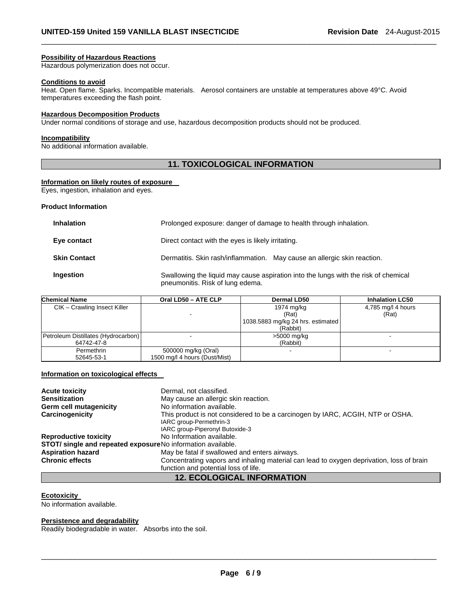#### **Possibility of Hazardous Reactions**

Hazardous polymerization does not occur.

#### **Conditions to avoid**

Heat. Open flame. Sparks. Incompatible materials. Aerosol containers are unstable at temperatures above 49°C. Avoid temperatures exceeding the flash point.

 $\Box$ 

## **Hazardous Decomposition Products**

Under normal conditions of storage and use, hazardous decomposition products should not be produced.

## **Incompatibility**

No additional information available.

## **11. TOXICOLOGICAL INFORMATION**

#### **Information on likely routes of exposure**

Eyes, ingestion, inhalation and eyes.

## **Product Information**

| <b>Inhalation</b>   | Prolonged exposure: danger of damage to health through inhalation.                                                      |  |
|---------------------|-------------------------------------------------------------------------------------------------------------------------|--|
| Eye contact         | Direct contact with the eyes is likely irritating.                                                                      |  |
| <b>Skin Contact</b> | Dermatitis. Skin rash/inflammation. May cause an allergic skin reaction.                                                |  |
| Ingestion           | Swallowing the liquid may cause aspiration into the lungs with the risk of chemical<br>pneumonitis. Risk of lung edema. |  |

| <b>Chemical Name</b>                | Oral LD50 - ATE CLP           | Dermal LD50                       | <b>Inhalation LC50</b> |
|-------------------------------------|-------------------------------|-----------------------------------|------------------------|
| CIK - Crawling Insect Killer        |                               | 1974 mg/kg                        | 4,785 mg/l 4 hours     |
|                                     |                               | (Rat)                             | (Rat)                  |
|                                     |                               | 1038.5883 mg/kg 24 hrs. estimated |                        |
|                                     |                               | (Rabbit)                          |                        |
| Petroleum Distillates (Hydrocarbon) |                               | >5000 mg/kg                       |                        |
| 64742-47-8                          |                               | (Rabbit)                          |                        |
| Permethrin                          | 500000 mg/kg (Oral)           |                                   |                        |
| 52645-53-1                          | 1500 mg/l 4 hours (Dust/Mist) |                                   |                        |

## **Information on toxicological effects**

| <b>Acute toxicity</b>                                       | Dermal, not classified.                                                                                                                      |  |  |  |  |  |  |
|-------------------------------------------------------------|----------------------------------------------------------------------------------------------------------------------------------------------|--|--|--|--|--|--|
| <b>Sensitization</b>                                        | May cause an allergic skin reaction.                                                                                                         |  |  |  |  |  |  |
| Germ cell mutagenicity                                      | No information available.                                                                                                                    |  |  |  |  |  |  |
| Carcinogenicity                                             | This product is not considered to be a carcinogen by IARC, ACGIH, NTP or OSHA.<br>IARC group-Permethrin-3<br>IARC group-Piperonyl Butoxide-3 |  |  |  |  |  |  |
| <b>Reproductive toxicity</b>                                | No Information available.                                                                                                                    |  |  |  |  |  |  |
| STOT/ single and repeated exposureNo information available. |                                                                                                                                              |  |  |  |  |  |  |
| <b>Aspiration hazard</b>                                    | May be fatal if swallowed and enters airways.                                                                                                |  |  |  |  |  |  |
| <b>Chronic effects</b>                                      | Concentrating vapors and inhaling material can lead to oxygen deprivation, loss of brain                                                     |  |  |  |  |  |  |
|                                                             | function and potential loss of life.                                                                                                         |  |  |  |  |  |  |
| <b>12. ECOLOGICAL INFORMATION</b>                           |                                                                                                                                              |  |  |  |  |  |  |

### **Ecotoxicity**

No information available.

## **Persistence and degradability**

Readily biodegradable in water. Absorbs into the soil.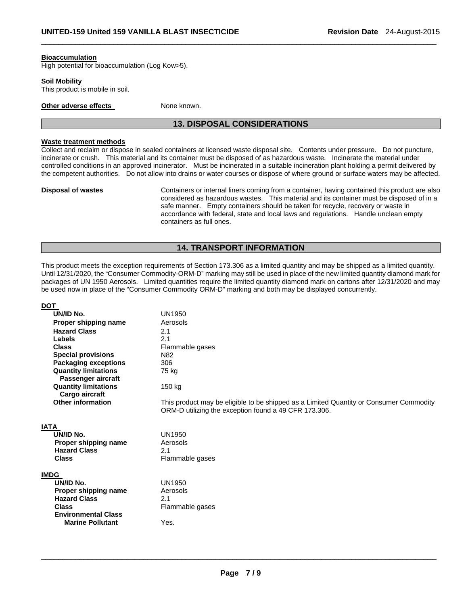#### **Bioaccumulation**

High potential for bioaccumulation (Log Kow>5).

#### **Soil Mobility**

This product is mobile in soil.

**Other adverse effects** None known.

## **13. DISPOSAL CONSIDERATIONS**

 $\Box$ 

## **Waste treatment methods**

Collect and reclaim or dispose in sealed containers at licensed waste disposal site. Contents under pressure. Do not puncture, incinerate or crush. This material and its container must be disposed of as hazardous waste. Incinerate the material under controlled conditions in an approved incinerator. Must be incinerated in a suitable incineration plant holding a permit delivered by the competent authorities. Do not allow into drains or water courses or dispose of where ground or surface waters may be affected.

**Disposal of wastes** Containers or internal liners coming from a container, having contained this product are also considered as hazardous wastes. This material and its container must be disposed of in a safe manner. Empty containers should be taken for recycle, recovery or waste in accordance with federal, state and local laws and regulations. Handle unclean empty containers as full ones.

## **14. TRANSPORT INFORMATION**

This product meets the exception requirements of Section 173.306 as a limited quantity and may be shipped as a limited quantity. Until 12/31/2020, the "Consumer Commodity-ORM-D" marking may still be used in place of the new limited quantity diamond mark for packages of UN 1950 Aerosols. Limited quantities require the limited quantity diamond mark on cartons after 12/31/2020 and may be used now in place of the "Consumer Commodity ORM-D" marking and both may be displayed concurrently.

| <b>DOT</b>                                  |                                                                                        |
|---------------------------------------------|----------------------------------------------------------------------------------------|
| UN/ID No.                                   | UN1950                                                                                 |
| Proper shipping name                        | Aerosols                                                                               |
| <b>Hazard Class</b>                         | 2.1                                                                                    |
| Labels                                      | 2.1                                                                                    |
| <b>Class</b>                                | Flammable gases                                                                        |
| <b>Special provisions</b>                   | N82                                                                                    |
| <b>Packaging exceptions</b>                 | 306                                                                                    |
| <b>Quantity limitations</b>                 | 75 kg                                                                                  |
| Passenger aircraft                          |                                                                                        |
| <b>Quantity limitations</b>                 | 150 kg                                                                                 |
| Cargo aircraft                              |                                                                                        |
| <b>Other information</b>                    | This product may be eligible to be shipped as a Limited Quantity or Consumer Commodity |
|                                             | ORM-D utilizing the exception found a 49 CFR 173.306.                                  |
|                                             |                                                                                        |
| <b>IATA</b>                                 |                                                                                        |
| UN/ID No.                                   | UN1950                                                                                 |
| Proper shipping name<br><b>Hazard Class</b> | Aerosols<br>2.1                                                                        |
| <b>Class</b>                                |                                                                                        |
|                                             | Flammable gases                                                                        |
| <b>IMDG</b>                                 |                                                                                        |
| UN/ID No.                                   | UN1950                                                                                 |
| Proper shipping name                        | Aerosols                                                                               |
| <b>Hazard Class</b>                         | 2.1                                                                                    |
| <b>Class</b>                                | Flammable gases                                                                        |
| <b>Environmental Class</b>                  |                                                                                        |
| <b>Marine Pollutant</b>                     | Yes.                                                                                   |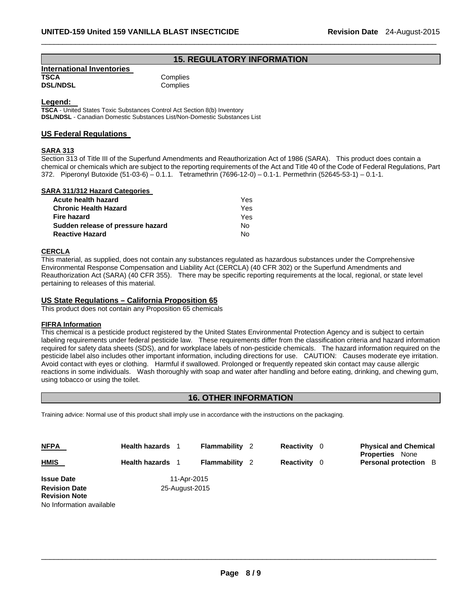## **15. REGULATORY INFORMATION**

 $\Box$ 

| International Inventories |  |
|---------------------------|--|
| <b>TSCA</b>               |  |
| <b>DSL/NDSL</b>           |  |

**Complies Complies** 

**Legend: TSCA** - United States Toxic Substances Control Act Section 8(b) Inventory **DSL/NDSL** - Canadian Domestic Substances List/Non-Domestic Substances List

## **US Federal Regulations**

## **SARA 313**

Section 313 of Title III of the Superfund Amendments and Reauthorization Act of 1986 (SARA). This product does contain a chemical or chemicals which are subject to the reporting requirements of the Act and Title 40 of the Code of Federal Regulations, Part 372. Piperonyl Butoxide (51-03-6) – 0.1.1. Tetramethrin (7696-12-0) – 0.1-1. Permethrin (52645-53-1) – 0.1-1.

## **SARA 311/312 Hazard Categories**

| Acute health hazard               | Yes. |
|-----------------------------------|------|
| Chronic Health Hazard             | Yes. |
| Fire hazard                       | Yes. |
| Sudden release of pressure hazard | No.  |
| <b>Reactive Hazard</b>            | N٥   |

## **CERCLA**

This material, as supplied, does not contain any substances regulated as hazardous substances under the Comprehensive Environmental Response Compensation and Liability Act (CERCLA) (40 CFR 302) or the Superfund Amendments and Reauthorization Act (SARA) (40 CFR 355). There may be specific reporting requirements at the local, regional, or state level pertaining to releases of this material.

## **US State Regulations – California Proposition 65**

This product does not contain any Proposition 65 chemicals

## **FIFRA Information**

This chemical is a pesticide product registered by the United States Environmental Protection Agency and is subject to certain labeling requirements under federal pesticide law. These requirements differ from the classification criteria and hazard information required for safety data sheets (SDS), and for workplace labels of non-pesticide chemicals. The hazard information required on the pesticide label also includes other important information, including directions for use. CAUTION: Causes moderate eye irritation. Avoid contact with eyes or clothing. Harmful if swallowed. Prolonged or frequently repeated skin contact may cause allergic reactions in some individuals. Wash thoroughly with soap and water after handling and before eating, drinking, and chewing gum, using tobacco or using the toilet.

## **16. OTHER INFORMATION**

Training advice: Normal use of this product shall imply use in accordance with the instructions on the packaging.

| <b>NFPA</b>                                  | <b>Health hazards</b> 1 |                | <b>Flammability</b> 2 | <b>Reactivity</b> 0 | <b>Physical and Chemical</b>                           |
|----------------------------------------------|-------------------------|----------------|-----------------------|---------------------|--------------------------------------------------------|
| <b>HMIS</b>                                  | <b>Health hazards</b>   |                | <b>Flammability</b> 2 | <b>Reactivity</b> 0 | <b>Properties</b> None<br><b>Personal protection</b> B |
| <b>Issue Date</b>                            |                         | 11-Apr-2015    |                       |                     |                                                        |
| <b>Revision Date</b><br><b>Revision Note</b> |                         | 25-August-2015 |                       |                     |                                                        |
| No Information available                     |                         |                |                       |                     |                                                        |